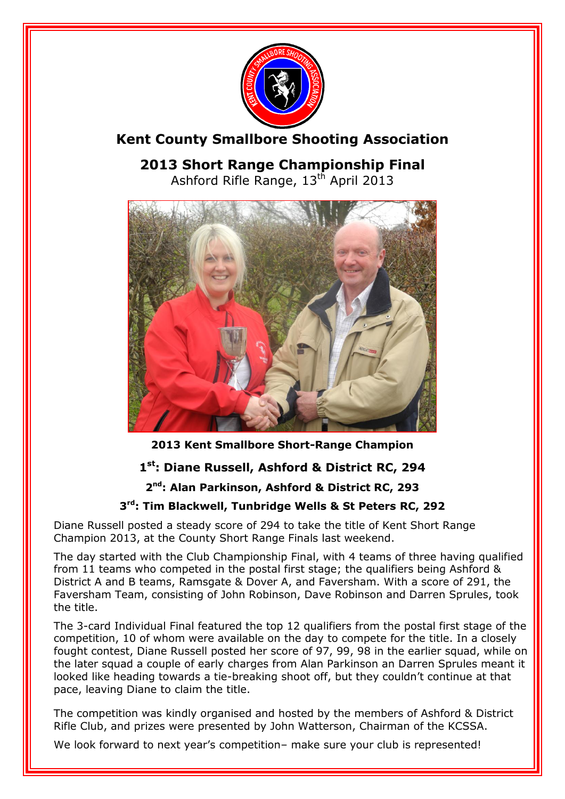

# **Kent County Smallbore Shooting Association**

**2013 Short Range Championship Final** Ashford Rifle Range, 13<sup>th</sup> April 2013



**2013 Kent Smallbore Short-Range Champion**

## **1 st: Diane Russell, Ashford & District RC, 294**

## **2 nd: Alan Parkinson, Ashford & District RC, 293**

## **3 rd: Tim Blackwell, Tunbridge Wells & St Peters RC, 292**

Diane Russell posted a steady score of 294 to take the title of Kent Short Range Champion 2013, at the County Short Range Finals last weekend.

The day started with the Club Championship Final, with 4 teams of three having qualified from 11 teams who competed in the postal first stage; the qualifiers being Ashford & District A and B teams, Ramsgate & Dover A, and Faversham. With a score of 291, the Faversham Team, consisting of John Robinson, Dave Robinson and Darren Sprules, took the title.

The 3-card Individual Final featured the top 12 qualifiers from the postal first stage of the competition, 10 of whom were available on the day to compete for the title. In a closely fought contest, Diane Russell posted her score of 97, 99, 98 in the earlier squad, while on the later squad a couple of early charges from Alan Parkinson an Darren Sprules meant it looked like heading towards a tie-breaking shoot off, but they couldn't continue at that pace, leaving Diane to claim the title.

The competition was kindly organised and hosted by the members of Ashford & District Rifle Club, and prizes were presented by John Watterson, Chairman of the KCSSA.

We look forward to next year's competition- make sure your club is represented!